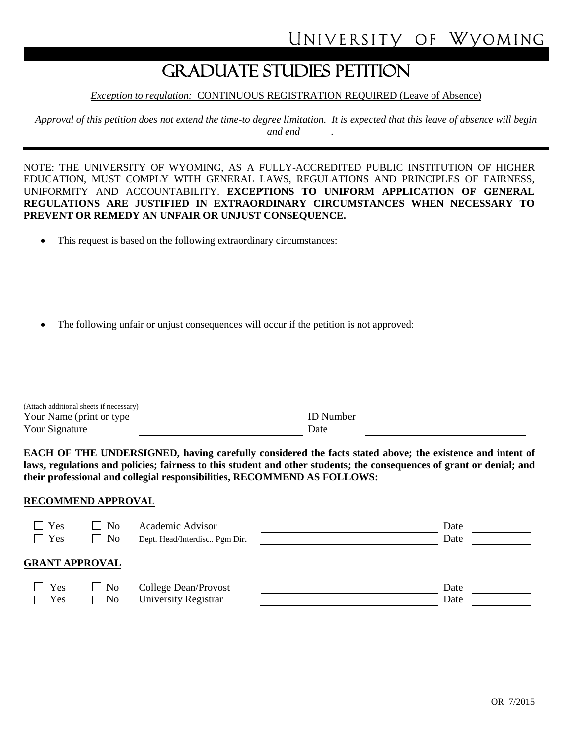# GRADUATE STUDIES PETITION

*Exception to regulation:* CONTINUOUS REGISTRATION REQUIRED (Leave of Absence)

*Approval of this petition does not extend the time-to degree limitation. It is expected that this leave of absence will begin and end* .

NOTE: THE UNIVERSITY OF WYOMING, AS A FULLY-ACCREDITED PUBLIC INSTITUTION OF HIGHER EDUCATION, MUST COMPLY WITH GENERAL LAWS, REGULATIONS AND PRINCIPLES OF FAIRNESS, UNIFORMITY AND ACCOUNTABILITY. **EXCEPTIONS TO UNIFORM APPLICATION OF GENERAL REGULATIONS ARE JUSTIFIED IN EXTRAORDINARY CIRCUMSTANCES WHEN NECESSARY TO PREVENT OR REMEDY AN UNFAIR OR UNJUST CONSEQUENCE.**

- This request is based on the following extraordinary circumstances:
- The following unfair or unjust consequences will occur if the petition is not approved:

| (Attach additional sheets if necessary) |                  |  |
|-----------------------------------------|------------------|--|
| Your Name (print or type)               | <b>ID</b> Number |  |
| Your Signature                          | Date             |  |

**EACH OF THE UNDERSIGNED, having carefully considered the facts stated above; the existence and intent of laws, regulations and policies; fairness to this student and other students; the consequences of grant or denial; and their professional and collegial responsibilities, RECOMMEND AS FOLLOWS:**

#### **RECOMMEND APPROVAL**

| $\Box$ Yes<br>$\Box$ Yes    | $\perp$ No<br>$\exists$ No | Academic Advisor<br>Dept. Head/Interdisc Pgm Dir. | Date<br>Date |  |
|-----------------------------|----------------------------|---------------------------------------------------|--------------|--|
| <b>GRANT APPROVAL</b>       |                            |                                                   |              |  |
| $\Box$ Yes<br>Yes<br>$\Box$ | $\Box$ No<br>$\Box$ No     | College Dean/Provost<br>University Registrar      | Date<br>Date |  |